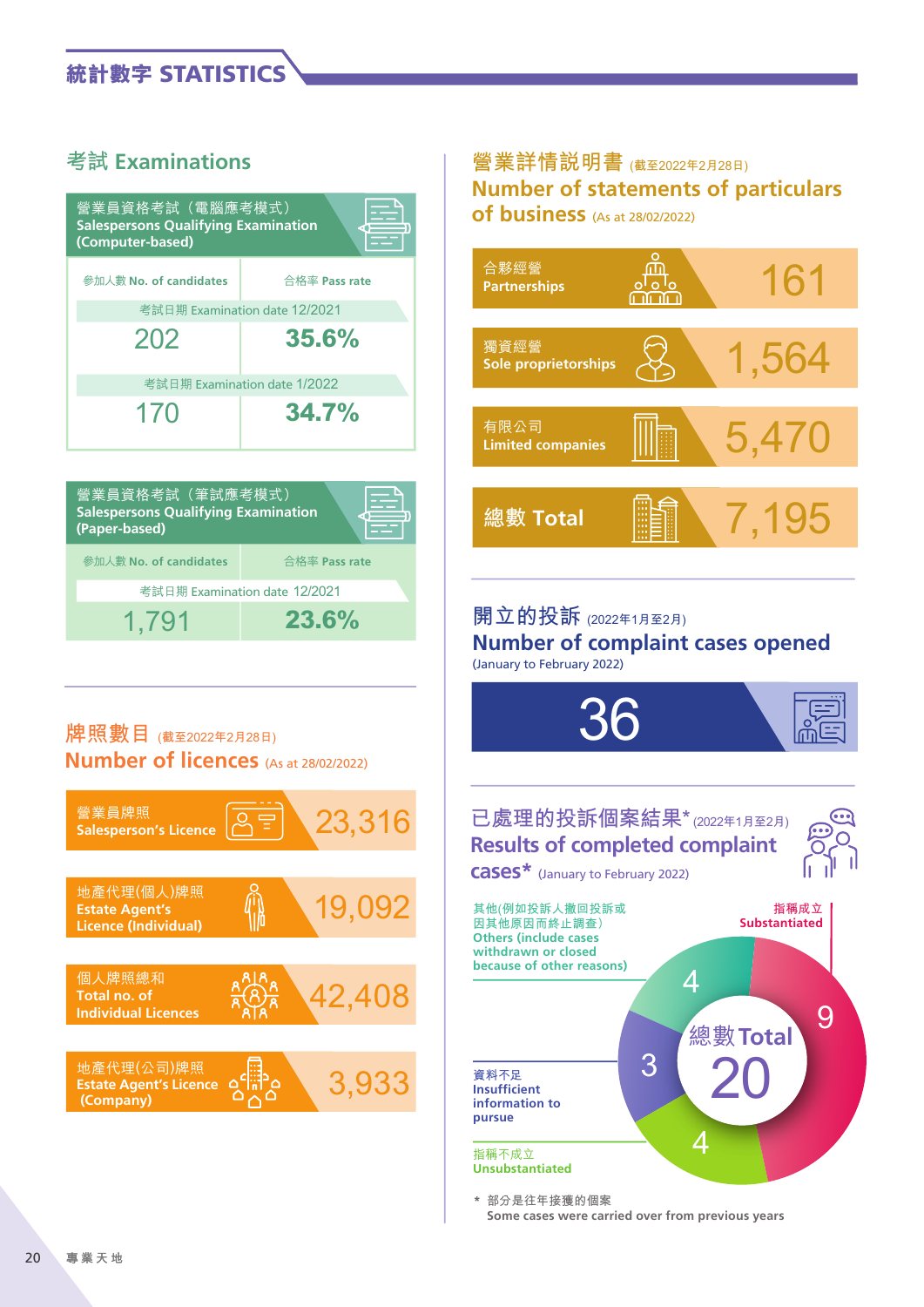| 營業員資格考試(電腦應考模式)<br><b>Salespersons Qualifying Examination</b><br>(Computer-based) |               |
|-----------------------------------------------------------------------------------|---------------|
| 參加人數 No. of candidates                                                            | 合格率 Pass rate |
| 考試日期 Examination date 12/2021                                                     |               |
| 202                                                                               | 35.6%         |
| 考試日期 Examination date 1/2022                                                      |               |
| 170                                                                               | 34.7%         |

| 營業員資格考試 (筆試應考模式)<br><b>Salespersons Qualifying Examination</b><br>(Paper-based) |               |
|---------------------------------------------------------------------------------|---------------|
| 參加人數 No. of candidates                                                          | 合格率 Pass rate |
| 考試日期 Examination date 12/2021                                                   |               |
| 1.791                                                                           | 23.6%         |

## 考試 **Examinations Letter Transferse Transferse Transferse Transferse Transferse Transferse Transferse Transferse Transferse Transferse Transferse Transferse Transferse Transferse Transferse Transferse Transferse Transfer Number of statements of particulars of business** (As at 28/02/2022)



# **開立的投訴 (2022年1月至2月)**

#### **Number of complaint cases opened** (January to February 2022)



### **牌照數目 (截至2022年2月28日) Number of licences** (As at 28/02/2022)





 **Some cases were carried over from previous years**